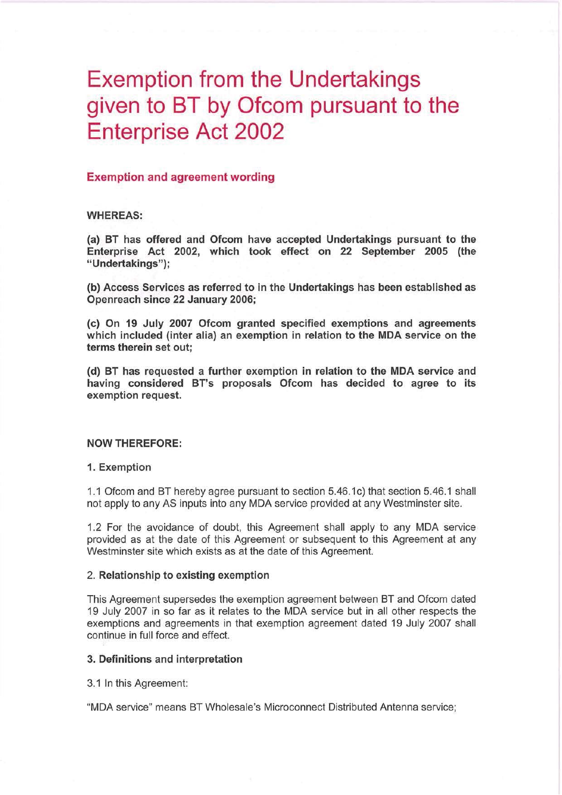# **Exemption from the Undertakings** given to BT by Ofcom pursuant to the **Enterprise Act 2002**

## **Exemption and agreement wording**

#### **WHEREAS:**

(a) BT has offered and Ofcom have accepted Undertakings pursuant to the Enterprise Act 2002, which took effect on 22 September 2005 (the "Undertakings");

(b) Access Services as referred to in the Undertakings has been established as Openreach since 22 January 2006;

(c) On 19 July 2007 Ofcom granted specified exemptions and agreements which included (inter alia) an exemption in relation to the MDA service on the terms therein set out:

(d) BT has requested a further exemption in relation to the MDA service and having considered BT's proposals Ofcom has decided to agree to its exemption request.

#### **NOW THEREFORE:**

#### 1. Exemption

1.1 Ofcom and BT hereby agree pursuant to section 5.46.1c) that section 5.46.1 shall not apply to any AS inputs into any MDA service provided at any Westminster site.

1.2 For the avoidance of doubt, this Agreement shall apply to any MDA service provided as at the date of this Agreement or subsequent to this Agreement at any Westminster site which exists as at the date of this Agreement.

#### 2. Relationship to existing exemption

This Agreement supersedes the exemption agreement between BT and Ofcom dated 19 July 2007 in so far as it relates to the MDA service but in all other respects the exemptions and agreements in that exemption agreement dated 19 July 2007 shall continue in full force and effect.

#### 3. Definitions and interpretation

3.1 In this Agreement:

"MDA service" means BT Wholesale's Microconnect Distributed Antenna service;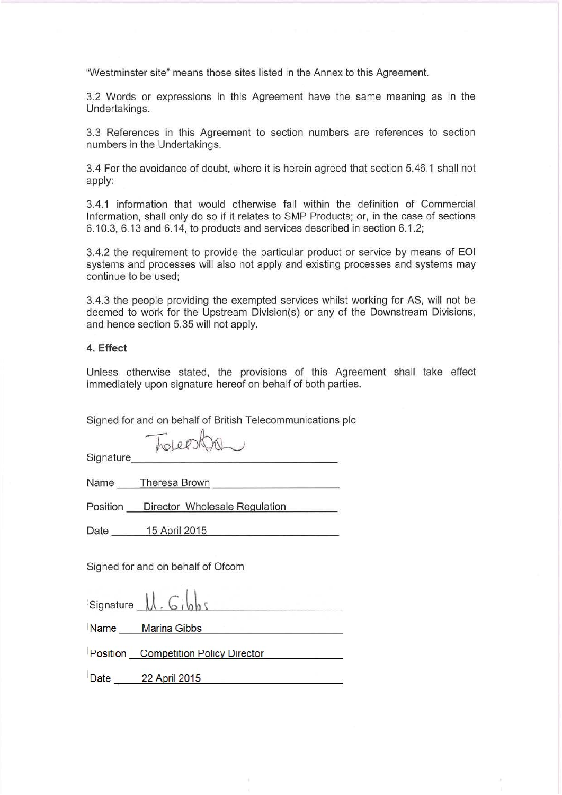"Westminster site" means those sites listed in the Annex to this Agreement.

3.2 Words or expressions in this Agreement have the same meaning as in the Undertakings.

3.3 References in this Agreement to section numbers are references to section numbers in the Undertakings.

3.4 For the avoidance of doubt, where it is herein agreed that section 5.46.1 shall not apply:

3.4.1 information that would otherwise fall within the definition of Commercial Information, shall only do so if it relates to SMP Products; or, in the case of sections 6.10.3, 6.13 and 6.14, to products and services described in section 6.1.2;

3.4.2 the requirement to provide the particular product or service by means of EOI systems and processes will also not apply and existing processes and systems may continue to be used:

3.4.3 the people providing the exempted services whilst working for AS, will not be deemed to work for the Upstream Division(s) or any of the Downstream Divisions, and hence section 5.35 will not apply.

## 4. Effect

Unless otherwise stated, the provisions of this Agreement shall take effect immediately upon signature hereof on behalf of both parties.

Signed for and on behalf of British Telecommunications plc

Thereshow

Signature

Name Theresa Brown

Position Director Wholesale Regulation

Date 15 April 2015

Signed for and on behalf of Ofcom

|      | Signature $\mathcal{U}$ . Gibbs      |
|------|--------------------------------------|
|      | Name Marina Gibbs                    |
|      | Position Competition Policy Director |
| Date | 22 April 2015                        |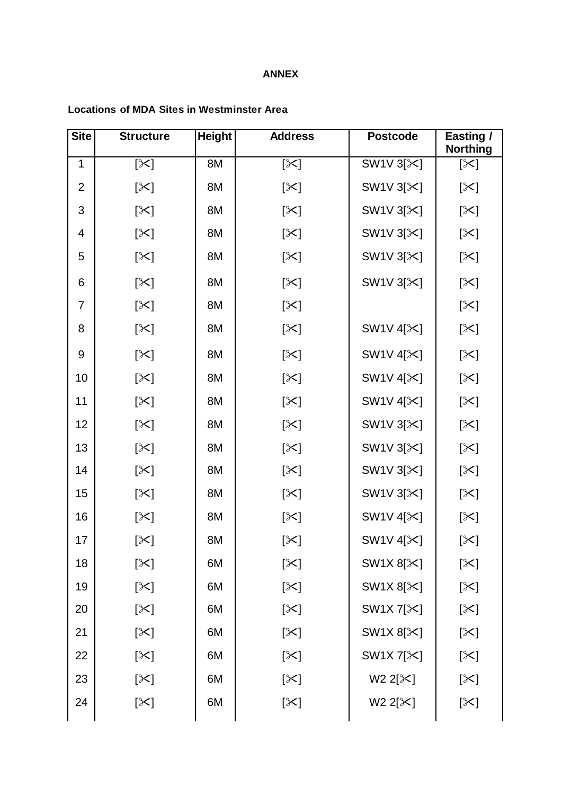## **ANNEX**

## **Locations of MDA Sites in Westminster Area Site Structure Height Address Postcode Easting /**

| UILV           | u uvuu v      | .  | Aww coo    | , volvouv                          | י פייייטיי<br><b>Northing</b> |
|----------------|---------------|----|------------|------------------------------------|-------------------------------|
| $\mathbf 1$    | [╳]           | 8M | [≻]        | SW1V 3[ $\&$ ]                     | [╳]                           |
| $\overline{2}$ | [╳]           | 8M | [╳]        | SW1V $3[\times]$                   | [╳]                           |
| 3              | [ $\approx$ ] | 8M | [╳]        | SW1V 3[ $\angle$ ]                 | [╳]                           |
| 4              | [╳]           | 8M | [╳]        | SW1V 3[ $\angle$ ]                 | [╳]                           |
| 5              | [╳]           | 8M | [╳]        | SW1V $3[\times]$                   | [╳]                           |
| 6              | [╳]           | 8M | [╳]        | SW1V 3[ $\&$ ]                     | [╳]                           |
| $\overline{7}$ | [╳]           | 8M | [╳]        |                                    | [╳]                           |
| 8              | [╳]           | 8M | [╳]        | SW1V 4[ <sup><math>×</math>]</sup> | [╳]                           |
| 9              | $[\times]$    | 8M | [╳]        | SW1V 4[ $\&$ ]                     | $[\times]$                    |
| 10             | [╳]           | 8M | $[\times]$ | SW1V 4[ $\&$ ]                     | [╳]                           |
| 11             | [╳]           | 8M | [╳]        | SW1V 4[ <sup><math>×</math>]</sup> | [╳]                           |
| 12             | [╳]           | 8M | [╳]        | SW1V 3[ $\&$ ]                     | [╳]                           |
| 13             | [╳]           | 8M | [╳]        | SW1V 3[ $\angle$ ]                 | [╳]                           |
| 14             | [╳]           | 8M | [╳]        | SW1V 3[ $\angle$ ]                 | [╳]                           |
| 15             | [╳]           | 8M | [╳]        | SW1V 3[ $\angle$ ]                 | [╳]                           |
| 16             | [╳]           | 8M | [╳]        | SW1V 4[ <sup><math>≥</math>]</sup> | [╳]                           |
| 17             | [╳]           | 8M | [╳]        | SW1V 4[ $\&$ ]                     | [╳]                           |
| 18             | [╳]           | 6M | $[\times]$ | SW1X 8[ $\approx$ ]                | [╳]                           |
| 19             | [╳]           | 6M | [╳]        | SW1X $8[\times]$                   | [╳]                           |
| 20             | [╳]           | 6M | [╳]        | SW1X 7[ $\&$ ]                     | [╳]                           |
| 21             | [╳]           | 6M | [╳]        | SW1X 8[ $\approx$ ]                | [╳]                           |
| 22             | [╳]           | 6M | [╳]        | SW1X 7[ $\&$ ]                     | [╳]                           |
| 23             | [╳]           | 6M | [╳]        | $W2 2[\times]$                     | [╳]                           |
| 24             | [╳]           | 6M | [╳]        | $W2 2[\times]$                     | [╳]                           |
|                |               |    |            |                                    |                               |